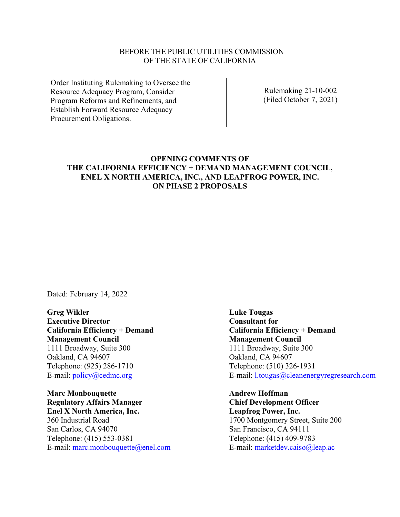### BEFORE THE PUBLIC UTILITIES COMMISSION OF THE STATE OF CALIFORNIA

Order Instituting Rulemaking to Oversee the Resource Adequacy Program, Consider Program Reforms and Refinements, and Establish Forward Resource Adequacy Procurement Obligations.

Rulemaking 21-10-002 (Filed October 7, 2021)

## **OPENING COMMENTS OF THE CALIFORNIA EFFICIENCY + DEMAND MANAGEMENT COUNCIL, ENEL X NORTH AMERICA, INC., AND LEAPFROG POWER, INC. ON PHASE 2 PROPOSALS**

Dated: February 14, 2022

**Greg Wikler Executive Director California Efficiency + Demand Management Council** 1111 Broadway, Suite 300 Oakland, CA 94607 Telephone: (925) 286-1710 E-mail: [policy@cedmc.org](mailto:policy@cedmc.org)

**Marc Monbouquette Regulatory Affairs Manager Enel X North America, Inc.** 360 Industrial Road San Carlos, CA 94070 Telephone: (415) 553-0381 E-mail: [marc.monbouquette@enel.com](mailto:marc.monbouquette@enel.com) **Luke Tougas Consultant for California Efficiency + Demand Management Council** 1111 Broadway, Suite 300 Oakland, CA 94607 Telephone: (510) 326-1931 E-mail: [l.tougas@cleanenergyregresearch.com](mailto:l.tougas@cleanenergyregresearch.com)

**Andrew Hoffman Chief Development Officer Leapfrog Power, Inc.** 1700 Montgomery Street, Suite 200 San Francisco, CA 94111 Telephone: (415) 409-9783 E-mail: [marketdev.caiso@leap.ac](mailto:marketdev.caiso@leap.ac)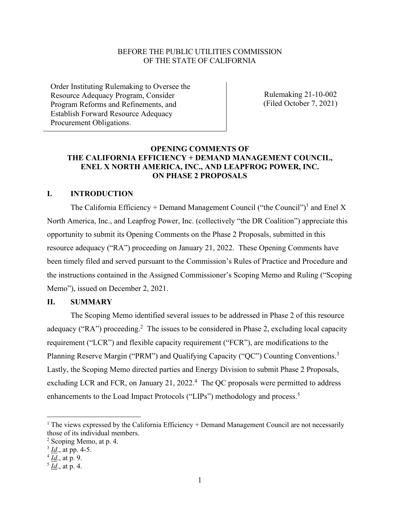### BEFORE THE PUBLIC UTILITIES COMMISSION OF THE STATE OF CALIFORNIA

Order Instituting Rulemaking to Oversee the Resource Adequacy Program, Consider Program Reforms and Refinements, and Establish Forward Resource Adequacy Procurement Obligations.

Rulemaking 21-10-002 (Filed October 7, 2021)

## **OPENING COMMENTS OF THE CALIFORNIA EFFICIENCY + DEMAND MANAGEMENT COUNCIL, ENEL X NORTH AMERICA, INC., AND LEAPFROG POWER, INC. ON PHASE 2 PROPOSALS**

## **I. INTRODUCTION**

The California Efficiency + Demand Management Council ("the Council")<sup>1</sup> and Enel X North America, Inc., and Leapfrog Power, Inc. (collectively "the DR Coalition") appreciate this opportunity to submit its Opening Comments on the Phase 2 Proposals, submitted in this resource adequacy ("RA") proceeding on January 21, 2022. These Opening Comments have been timely filed and served pursuant to the Commission's Rules of Practice and Procedure and the instructions contained in the Assigned Commissioner's Scoping Memo and Ruling ("Scoping Memo"), issued on December 2, 2021.

### **II. SUMMARY**

The Scoping Memo identified several issues to be addressed in Phase 2 of this resource adequacy ("RA") proceeding.<sup>2</sup> The issues to be considered in Phase 2, excluding local capacity requirement ("LCR") and flexible capacity requirement ("FCR"), are modifications to the Planning Reserve Margin ("PRM") and Qualifying Capacity ("QC") Counting Conventions.<sup>3</sup> Lastly, the Scoping Memo directed parties and Energy Division to submit Phase 2 Proposals, excluding LCR and FCR, on January 21, 2022.<sup>4</sup> The QC proposals were permitted to address enhancements to the Load Impact Protocols ("LIPs") methodology and process.<sup>5</sup>

<sup>&</sup>lt;sup>1</sup> The views expressed by the California Efficiency  $+$  Demand Management Council are not necessarily those of its individual members.

<sup>2</sup> Scoping Memo, at p. 4.

<sup>3</sup> *Id*., at pp. 4-5.

<sup>4</sup> *Id*., at p. 9.

<sup>5</sup> *Id*., at p. 4.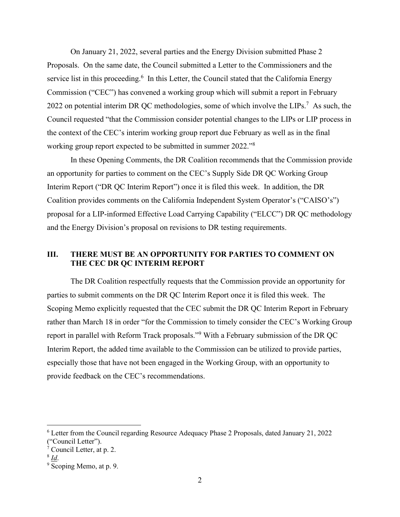On January 21, 2022, several parties and the Energy Division submitted Phase 2 Proposals. On the same date, the Council submitted a Letter to the Commissioners and the service list in this proceeding.<sup>6</sup> In this Letter, the Council stated that the California Energy Commission ("CEC") has convened a working group which will submit a report in February 2022 on potential interim DR QC methodologies, some of which involve the LIPs.<sup>7</sup> As such, the Council requested "that the Commission consider potential changes to the LIPs or LIP process in the context of the CEC's interim working group report due February as well as in the final working group report expected to be submitted in summer 2022."<sup>8</sup>

In these Opening Comments, the DR Coalition recommends that the Commission provide an opportunity for parties to comment on the CEC's Supply Side DR QC Working Group Interim Report ("DR QC Interim Report") once it is filed this week. In addition, the DR Coalition provides comments on the California Independent System Operator's ("CAISO's") proposal for a LIP-informed Effective Load Carrying Capability ("ELCC") DR QC methodology and the Energy Division's proposal on revisions to DR testing requirements.

## **III. THERE MUST BE AN OPPORTUNITY FOR PARTIES TO COMMENT ON THE CEC DR QC INTERIM REPORT**

The DR Coalition respectfully requests that the Commission provide an opportunity for parties to submit comments on the DR QC Interim Report once it is filed this week. The Scoping Memo explicitly requested that the CEC submit the DR QC Interim Report in February rather than March 18 in order "for the Commission to timely consider the CEC's Working Group report in parallel with Reform Track proposals."<sup>9</sup> With a February submission of the DR QC Interim Report, the added time available to the Commission can be utilized to provide parties, especially those that have not been engaged in the Working Group, with an opportunity to provide feedback on the CEC's recommendations.

<sup>6</sup> Letter from the Council regarding Resource Adequacy Phase 2 Proposals, dated January 21, 2022 ("Council Letter").

<sup>7</sup> Council Letter, at p. 2.

<sup>8</sup> *Id*.

 $9\overline{S}$ coping Memo, at p. 9.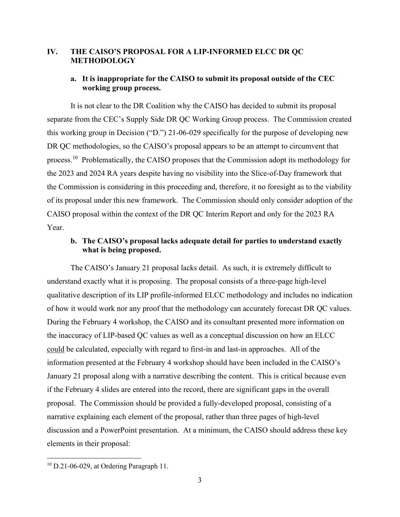## **IV. THE CAISO'S PROPOSAL FOR A LIP-INFORMED ELCC DR QC METHODOLOGY**

## **a. It is inappropriate for the CAISO to submit its proposal outside of the CEC working group process.**

It is not clear to the DR Coalition why the CAISO has decided to submit its proposal separate from the CEC's Supply Side DR QC Working Group process. The Commission created this working group in Decision ("D.") 21-06-029 specifically for the purpose of developing new DR QC methodologies, so the CAISO's proposal appears to be an attempt to circumvent that process.<sup>10</sup> Problematically, the CAISO proposes that the Commission adopt its methodology for the 2023 and 2024 RA years despite having no visibility into the Slice-of-Day framework that the Commission is considering in this proceeding and, therefore, it no foresight as to the viability of its proposal under this new framework. The Commission should only consider adoption of the CAISO proposal within the context of the DR QC Interim Report and only for the 2023 RA Year.

## **b. The CAISO's proposal lacks adequate detail for parties to understand exactly what is being proposed.**

The CAISO's January 21 proposal lacks detail. As such, it is extremely difficult to understand exactly what it is proposing. The proposal consists of a three-page high-level qualitative description of its LIP profile-informed ELCC methodology and includes no indication of how it would work nor any proof that the methodology can accurately forecast DR QC values. During the February 4 workshop, the CAISO and its consultant presented more information on the inaccuracy of LIP-based QC values as well as a conceptual discussion on how an ELCC could be calculated, especially with regard to first-in and last-in approaches. All of the information presented at the February 4 workshop should have been included in the CAISO's January 21 proposal along with a narrative describing the content. This is critical because even if the February 4 slides are entered into the record, there are significant gaps in the overall proposal. The Commission should be provided a fully-developed proposal, consisting of a narrative explaining each element of the proposal, rather than three pages of high-level discussion and a PowerPoint presentation. At a minimum, the CAISO should address these key elements in their proposal:

<sup>&</sup>lt;sup>10</sup> D.21-06-029, at Ordering Paragraph 11.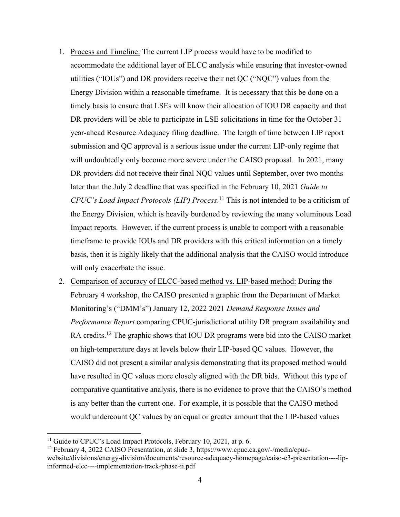- 1. Process and Timeline: The current LIP process would have to be modified to accommodate the additional layer of ELCC analysis while ensuring that investor-owned utilities ("IOUs") and DR providers receive their net QC ("NQC") values from the Energy Division within a reasonable timeframe. It is necessary that this be done on a timely basis to ensure that LSEs will know their allocation of IOU DR capacity and that DR providers will be able to participate in LSE solicitations in time for the October 31 year-ahead Resource Adequacy filing deadline. The length of time between LIP report submission and QC approval is a serious issue under the current LIP-only regime that will undoubtedly only become more severe under the CAISO proposal. In 2021, many DR providers did not receive their final NQC values until September, over two months later than the July 2 deadline that was specified in the February 10, 2021 *Guide to CPUC's Load Impact Protocols (LIP) Process*. <sup>11</sup> This is not intended to be a criticism of the Energy Division, which is heavily burdened by reviewing the many voluminous Load Impact reports. However, if the current process is unable to comport with a reasonable timeframe to provide IOUs and DR providers with this critical information on a timely basis, then it is highly likely that the additional analysis that the CAISO would introduce will only exacerbate the issue.
- 2. Comparison of accuracy of ELCC-based method vs. LIP-based method: During the February 4 workshop, the CAISO presented a graphic from the Department of Market Monitoring's ("DMM's") January 12, 2022 2021 *Demand Response Issues and Performance Report* comparing CPUC-jurisdictional utility DR program availability and RA credits.<sup>12</sup> The graphic shows that IOU DR programs were bid into the CAISO market on high-temperature days at levels below their LIP-based QC values. However, the CAISO did not present a similar analysis demonstrating that its proposed method would have resulted in QC values more closely aligned with the DR bids. Without this type of comparative quantitative analysis, there is no evidence to prove that the CAISO's method is any better than the current one. For example, it is possible that the CAISO method would undercount QC values by an equal or greater amount that the LIP-based values

<sup>&</sup>lt;sup>11</sup> Guide to CPUC's Load Impact Protocols, February 10, 2021, at p. 6.

<sup>12</sup> February 4, 2022 CAISO Presentation, at slide 3, https://www.cpuc.ca.gov/-/media/cpucwebsite/divisions/energy-division/documents/resource-adequacy-homepage/caiso-e3-presentation----lipinformed-elcc----implementation-track-phase-ii.pdf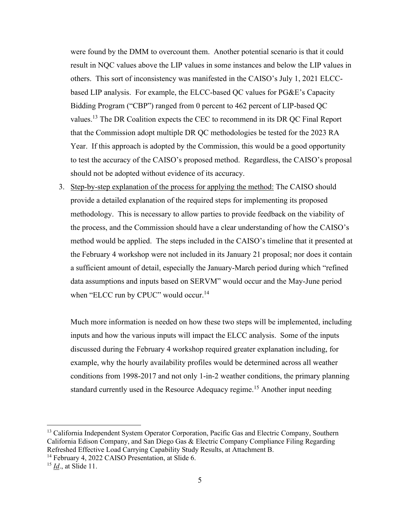were found by the DMM to overcount them. Another potential scenario is that it could result in NQC values above the LIP values in some instances and below the LIP values in others. This sort of inconsistency was manifested in the CAISO's July 1, 2021 ELCCbased LIP analysis. For example, the ELCC-based QC values for PG&E's Capacity Bidding Program ("CBP") ranged from 0 percent to 462 percent of LIP-based QC values.<sup>13</sup> The DR Coalition expects the CEC to recommend in its DR QC Final Report that the Commission adopt multiple DR QC methodologies be tested for the 2023 RA Year. If this approach is adopted by the Commission, this would be a good opportunity to test the accuracy of the CAISO's proposed method. Regardless, the CAISO's proposal should not be adopted without evidence of its accuracy.

3. Step-by-step explanation of the process for applying the method: The CAISO should provide a detailed explanation of the required steps for implementing its proposed methodology. This is necessary to allow parties to provide feedback on the viability of the process, and the Commission should have a clear understanding of how the CAISO's method would be applied. The steps included in the CAISO's timeline that it presented at the February 4 workshop were not included in its January 21 proposal; nor does it contain a sufficient amount of detail, especially the January-March period during which "refined data assumptions and inputs based on SERVM" would occur and the May-June period when "ELCC run by CPUC" would occur.<sup>14</sup>

Much more information is needed on how these two steps will be implemented, including inputs and how the various inputs will impact the ELCC analysis. Some of the inputs discussed during the February 4 workshop required greater explanation including, for example, why the hourly availability profiles would be determined across all weather conditions from 1998-2017 and not only 1-in-2 weather conditions, the primary planning standard currently used in the Resource Adequacy regime.<sup>15</sup> Another input needing

<sup>&</sup>lt;sup>13</sup> California Independent System Operator Corporation, Pacific Gas and Electric Company, Southern California Edison Company, and San Diego Gas & Electric Company Compliance Filing Regarding Refreshed Effective Load Carrying Capability Study Results, at Attachment B.

<sup>&</sup>lt;sup>14</sup> February 4, 2022 CAISO Presentation, at Slide 6.

<sup>15</sup> *Id*., at Slide 11.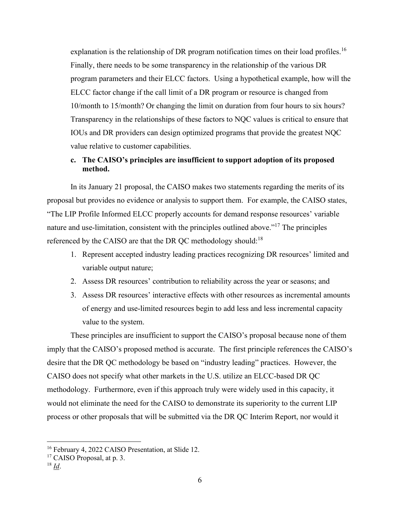explanation is the relationship of DR program notification times on their load profiles.<sup>16</sup> Finally, there needs to be some transparency in the relationship of the various DR program parameters and their ELCC factors. Using a hypothetical example, how will the ELCC factor change if the call limit of a DR program or resource is changed from 10/month to 15/month? Or changing the limit on duration from four hours to six hours? Transparency in the relationships of these factors to NQC values is critical to ensure that IOUs and DR providers can design optimized programs that provide the greatest NQC value relative to customer capabilities.

## **c. The CAISO's principles are insufficient to support adoption of its proposed method.**

In its January 21 proposal, the CAISO makes two statements regarding the merits of its proposal but provides no evidence or analysis to support them. For example, the CAISO states, "The LIP Profile Informed ELCC properly accounts for demand response resources' variable nature and use-limitation, consistent with the principles outlined above."<sup>17</sup> The principles referenced by the CAISO are that the DR OC methodology should:<sup>18</sup>

- 1. Represent accepted industry leading practices recognizing DR resources' limited and variable output nature;
- 2. Assess DR resources' contribution to reliability across the year or seasons; and
- 3. Assess DR resources' interactive effects with other resources as incremental amounts of energy and use-limited resources begin to add less and less incremental capacity value to the system.

These principles are insufficient to support the CAISO's proposal because none of them imply that the CAISO's proposed method is accurate. The first principle references the CAISO's desire that the DR QC methodology be based on "industry leading" practices. However, the CAISO does not specify what other markets in the U.S. utilize an ELCC-based DR QC methodology. Furthermore, even if this approach truly were widely used in this capacity, it would not eliminate the need for the CAISO to demonstrate its superiority to the current LIP process or other proposals that will be submitted via the DR QC Interim Report, nor would it

<sup>&</sup>lt;sup>16</sup> February 4, 2022 CAISO Presentation, at Slide 12.

<sup>&</sup>lt;sup>17</sup> CAISO Proposal, at p. 3.

 $18 \underline{Id}$ .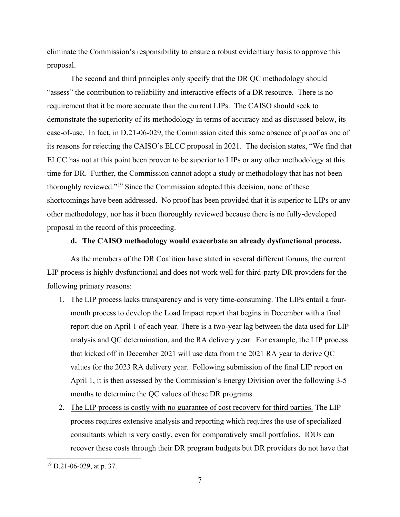eliminate the Commission's responsibility to ensure a robust evidentiary basis to approve this proposal.

The second and third principles only specify that the DR QC methodology should "assess" the contribution to reliability and interactive effects of a DR resource. There is no requirement that it be more accurate than the current LIPs. The CAISO should seek to demonstrate the superiority of its methodology in terms of accuracy and as discussed below, its ease-of-use. In fact, in D.21-06-029, the Commission cited this same absence of proof as one of its reasons for rejecting the CAISO's ELCC proposal in 2021. The decision states, "We find that ELCC has not at this point been proven to be superior to LIPs or any other methodology at this time for DR. Further, the Commission cannot adopt a study or methodology that has not been thoroughly reviewed."<sup>19</sup> Since the Commission adopted this decision, none of these shortcomings have been addressed. No proof has been provided that it is superior to LIPs or any other methodology, nor has it been thoroughly reviewed because there is no fully-developed proposal in the record of this proceeding.

#### **d. The CAISO methodology would exacerbate an already dysfunctional process.**

As the members of the DR Coalition have stated in several different forums, the current LIP process is highly dysfunctional and does not work well for third-party DR providers for the following primary reasons:

- 1. The LIP process lacks transparency and is very time-consuming. The LIPs entail a fourmonth process to develop the Load Impact report that begins in December with a final report due on April 1 of each year. There is a two-year lag between the data used for LIP analysis and QC determination, and the RA delivery year. For example, the LIP process that kicked off in December 2021 will use data from the 2021 RA year to derive QC values for the 2023 RA delivery year. Following submission of the final LIP report on April 1, it is then assessed by the Commission's Energy Division over the following 3-5 months to determine the QC values of these DR programs.
- 2. The LIP process is costly with no guarantee of cost recovery for third parties. The LIP process requires extensive analysis and reporting which requires the use of specialized consultants which is very costly, even for comparatively small portfolios. IOUs can recover these costs through their DR program budgets but DR providers do not have that

 $19$  D.21-06-029, at p. 37.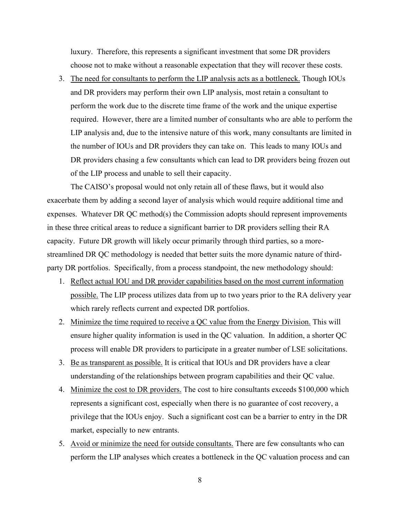luxury. Therefore, this represents a significant investment that some DR providers choose not to make without a reasonable expectation that they will recover these costs.

3. The need for consultants to perform the LIP analysis acts as a bottleneck. Though IOUs and DR providers may perform their own LIP analysis, most retain a consultant to perform the work due to the discrete time frame of the work and the unique expertise required. However, there are a limited number of consultants who are able to perform the LIP analysis and, due to the intensive nature of this work, many consultants are limited in the number of IOUs and DR providers they can take on. This leads to many IOUs and DR providers chasing a few consultants which can lead to DR providers being frozen out of the LIP process and unable to sell their capacity.

The CAISO's proposal would not only retain all of these flaws, but it would also exacerbate them by adding a second layer of analysis which would require additional time and expenses. Whatever DR QC method(s) the Commission adopts should represent improvements in these three critical areas to reduce a significant barrier to DR providers selling their RA capacity. Future DR growth will likely occur primarily through third parties, so a morestreamlined DR QC methodology is needed that better suits the more dynamic nature of thirdparty DR portfolios. Specifically, from a process standpoint, the new methodology should:

- 1. Reflect actual IOU and DR provider capabilities based on the most current information possible. The LIP process utilizes data from up to two years prior to the RA delivery year which rarely reflects current and expected DR portfolios.
- 2. Minimize the time required to receive a QC value from the Energy Division. This will ensure higher quality information is used in the QC valuation. In addition, a shorter QC process will enable DR providers to participate in a greater number of LSE solicitations.
- 3. Be as transparent as possible. It is critical that IOUs and DR providers have a clear understanding of the relationships between program capabilities and their QC value.
- 4. Minimize the cost to DR providers. The cost to hire consultants exceeds \$100,000 which represents a significant cost, especially when there is no guarantee of cost recovery, a privilege that the IOUs enjoy. Such a significant cost can be a barrier to entry in the DR market, especially to new entrants.
- 5. Avoid or minimize the need for outside consultants. There are few consultants who can perform the LIP analyses which creates a bottleneck in the QC valuation process and can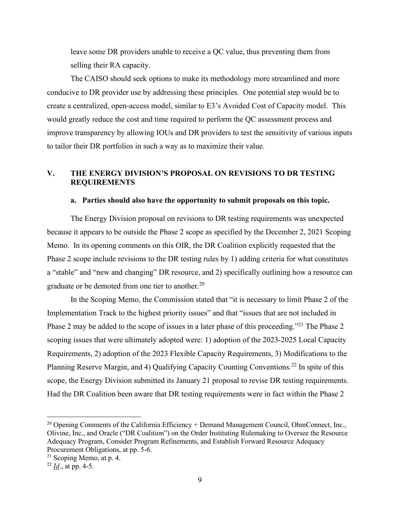leave some DR providers unable to receive a QC value, thus preventing them from selling their RA capacity.

The CAISO should seek options to make its methodology more streamlined and more conducive to DR provider use by addressing these principles. One potential step would be to create a centralized, open-access model, similar to E3's Avoided Cost of Capacity model. This would greatly reduce the cost and time required to perform the QC assessment process and improve transparency by allowing IOUs and DR providers to test the sensitivity of various inputs to tailor their DR portfolios in such a way as to maximize their value.

# **V. THE ENERGY DIVISION'S PROPOSAL ON REVISIONS TO DR TESTING REQUIREMENTS**

#### **a. Parties should also have the opportunity to submit proposals on this topic.**

The Energy Division proposal on revisions to DR testing requirements was unexpected because it appears to be outside the Phase 2 scope as specified by the December 2, 2021 Scoping Memo. In its opening comments on this OIR, the DR Coalition explicitly requested that the Phase 2 scope include revisions to the DR testing rules by 1) adding criteria for what constitutes a "stable" and "new and changing" DR resource, and 2) specifically outlining how a resource can graduate or be demoted from one tier to another.<sup>20</sup>

In the Scoping Memo, the Commission stated that "it is necessary to limit Phase 2 of the Implementation Track to the highest priority issues" and that "issues that are not included in Phase 2 may be added to the scope of issues in a later phase of this proceeding."<sup>21</sup> The Phase 2 scoping issues that were ultimately adopted were: 1) adoption of the 2023-2025 Local Capacity Requirements, 2) adoption of the 2023 Flexible Capacity Requirements, 3) Modifications to the Planning Reserve Margin, and 4) Qualifying Capacity Counting Conventions.<sup>22</sup> In spite of this scope, the Energy Division submitted its January 21 proposal to revise DR testing requirements. Had the DR Coalition been aware that DR testing requirements were in fact within the Phase 2

<sup>&</sup>lt;sup>20</sup> Opening Comments of the California Efficiency + Demand Management Council, OhmConnect, Inc., Olivine, Inc., and Oracle ("DR Coalition") on the Order Instituting Rulemaking to Oversee the Resource Adequacy Program, Consider Program Refinements, and Establish Forward Resource Adequacy Procurement Obligations, at pp. 5-6.

 $21$  Scoping Memo, at p. 4.

<sup>22</sup> *Id*., at pp. 4-5.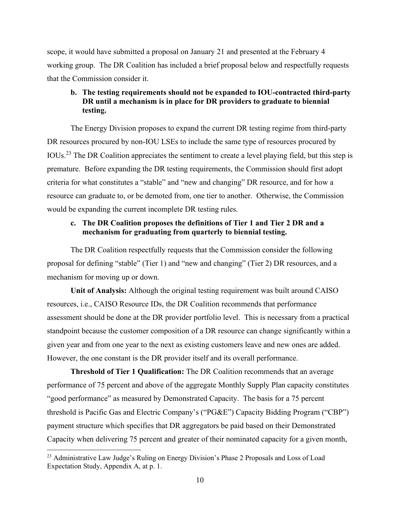scope, it would have submitted a proposal on January 21 and presented at the February 4 working group. The DR Coalition has included a brief proposal below and respectfully requests that the Commission consider it.

## **b. The testing requirements should not be expanded to IOU-contracted third-party DR until a mechanism is in place for DR providers to graduate to biennial testing.**

The Energy Division proposes to expand the current DR testing regime from third-party DR resources procured by non-IOU LSEs to include the same type of resources procured by IOUs.<sup>23</sup> The DR Coalition appreciates the sentiment to create a level playing field, but this step is premature. Before expanding the DR testing requirements, the Commission should first adopt criteria for what constitutes a "stable" and "new and changing" DR resource, and for how a resource can graduate to, or be demoted from, one tier to another. Otherwise, the Commission would be expanding the current incomplete DR testing rules.

## **c. The DR Coalition proposes the definitions of Tier 1 and Tier 2 DR and a mechanism for graduating from quarterly to biennial testing.**

The DR Coalition respectfully requests that the Commission consider the following proposal for defining "stable" (Tier 1) and "new and changing" (Tier 2) DR resources, and a mechanism for moving up or down.

**Unit of Analysis:** Although the original testing requirement was built around CAISO resources, i.e., CAISO Resource IDs, the DR Coalition recommends that performance assessment should be done at the DR provider portfolio level. This is necessary from a practical standpoint because the customer composition of a DR resource can change significantly within a given year and from one year to the next as existing customers leave and new ones are added. However, the one constant is the DR provider itself and its overall performance.

**Threshold of Tier 1 Qualification:** The DR Coalition recommends that an average performance of 75 percent and above of the aggregate Monthly Supply Plan capacity constitutes "good performance" as measured by Demonstrated Capacity. The basis for a 75 percent threshold is Pacific Gas and Electric Company's ("PG&E") Capacity Bidding Program ("CBP") payment structure which specifies that DR aggregators be paid based on their Demonstrated Capacity when delivering 75 percent and greater of their nominated capacity for a given month,

<sup>&</sup>lt;sup>23</sup> Administrative Law Judge's Ruling on Energy Division's Phase 2 Proposals and Loss of Load Expectation Study, Appendix A, at p. 1.